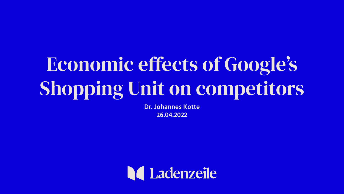# Economic effects of Google's Shopping Unit on competitors

**Dr. Johannes Kotte 26.04.2022**

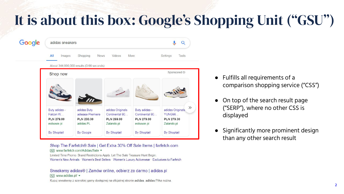## It is about this box: Google's Shopping Unit ("GSU")



Shop The Farfetch® Sale | Get Extra 30% Off Sale Items | farfetch.com [Ad] www.farfetch.com/Adidas/Sale ▼

Limited Time Promo. Brand Restrictions Apply. Let The Sale Treasure Hunt Begin. Women's New Arrivals · Women's Best Sellers · Women's Luxury Activewear · Exclusives to Farfetch

Sneakersy adidas® | Zamów online, odbierz za darmo | adidas.pl Ad www.adidas.pl/ v Kupuj sneakersy z szerokiej gamy dostępnej na oficjalnej stronie adidas. adidas Piłka nożna.

- Fulfills all requirements of a comparison shopping service ("CSS")
- On top of the search result page ("SERP"), where no other CSS is displayed
- Significantly more prominent design than any other search result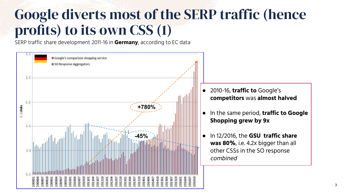### Google diverts most of the SERP traffic (hence profits) to its own CSS (1)

SERP traffic share development 2011-16 in **Germany**, according to EC data

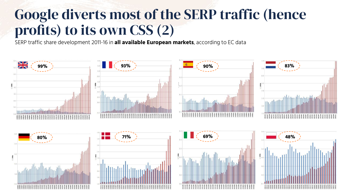### Google diverts most of the SERP traffic (hence profits) to its own CSS (2)

SERP traffic share development 2011-16 in **all available European markets**, according to EC data

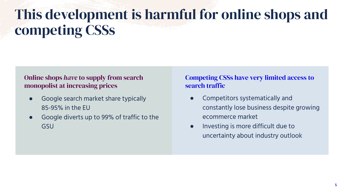## This development is harmful for online shops and competing CSSs

### Online shops *have* to supply from search monopolist at increasing prices

- Google search market share typically 85-95% in the EU
- Google diverts up to 99% of traffic to the GSU

#### Competing CSSs have very limited access to search traffic

- Competitors systematically and constantly lose business despite growing ecommerce market
- Investing is more difficult due to uncertainty about industry outlook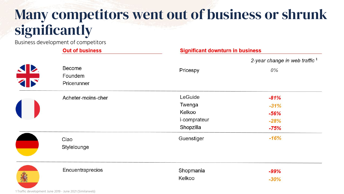### Many competitors went out of business or shrunk significantly

Business development of competitors

| <b>Out of business</b> | <b>Significant downturn in business</b> |                                  |
|------------------------|-----------------------------------------|----------------------------------|
|                        |                                         | 2-year change in web traffic $1$ |
| Become                 | Pricespy                                | 0%                               |
|                        |                                         |                                  |
|                        |                                         |                                  |
| Acheter-moins-cher     | LeGuide                                 | $-81%$                           |
|                        | Twenga                                  | $-31%$                           |
|                        | Kelkoo                                  | $-56%$                           |
|                        | i-comprateur                            | $-28%$                           |
|                        | Shopzilla                               | $-75%$                           |
| Ciao                   | Guenstiger                              | $-16%$                           |
| Stylelounge            |                                         |                                  |
| Encuentraprecios       | Shopmania                               | $-99%$                           |
|                        | Kelkoo                                  | $-30%$                           |
|                        | Foundem<br>Pricerunner                  |                                  |

1 Traffic development June 2019 - June 2021 (Similarweb)